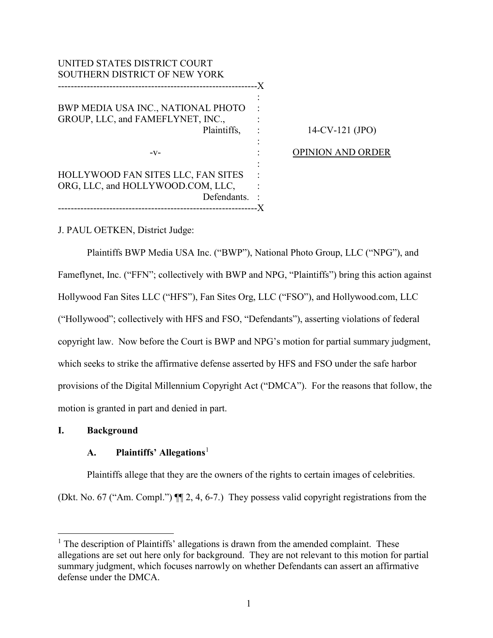UNITED STATES DISTRICT COURT SOUTHERN DISTRICT OF NEW YORK -------------------------------------------------------------- X BWP MEDIA USA INC., NATIONAL PHOTO GROUP, LLC, and FAMEFLYNET, INC., Plaintiffs, -v-HOLLYWOOD FAN SITES LLC, FAN SITES ORG, LLC, and HOLLYWOOD.COM, LLC, Defendants. -------------------------------------------------------------- X : : : : : : : : : : OPINION AND ORDER

14-CV-121 (JPO)

J. PAUL OETKEN, District Judge:

Plaintiffs BWP Media USA Inc. ("BWP"), National Photo Group, LLC ("NPG"), and Fameflynet, Inc. ("FFN"; collectively with BWP and NPG, "Plaintiffs") bring this action against Hollywood Fan Sites LLC ("HFS"), Fan Sites Org, LLC ("FSO"), and Hollywood.com, LLC ("Hollywood"; collectively with HFS and FSO, "Defendants"), asserting violations of federal copyright law. Now before the Court is BWP and NPG's motion for partial summary judgment, which seeks to strike the affirmative defense asserted by HFS and FSO under the safe harbor provisions of the Digital Millennium Copyright Act ("DMCA"). For the reasons that follow, the motion is granted in part and denied in part.

# **I. Background**

# **A. Plaintiffs' Allegations**[1](#page-0-0)

Plaintiffs allege that they are the owners of the rights to certain images of celebrities. (Dkt. No. 67 ("Am. Compl.") ¶¶ 2, 4, 6-7.) They possess valid copyright registrations from the

<span id="page-0-0"></span> $\overline{a}$  $<sup>1</sup>$  The description of Plaintiffs' allegations is drawn from the amended complaint. These</sup> allegations are set out here only for background. They are not relevant to this motion for partial summary judgment, which focuses narrowly on whether Defendants can assert an affirmative defense under the DMCA.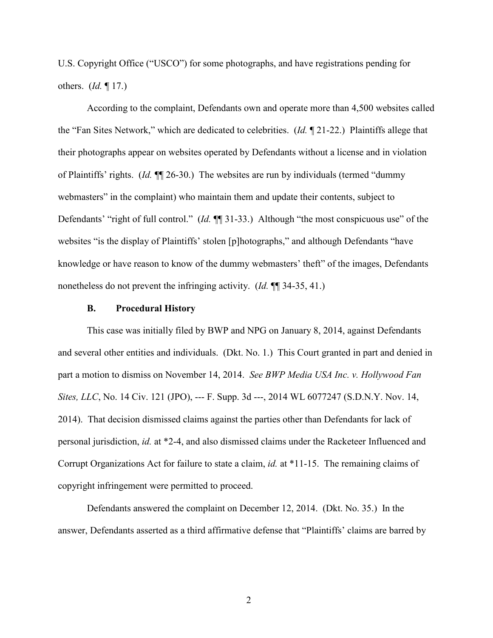U.S. Copyright Office ("USCO") for some photographs, and have registrations pending for others. (*Id.* ¶ 17.)

According to the complaint, Defendants own and operate more than 4,500 websites called the "Fan Sites Network," which are dedicated to celebrities. (*Id.* ¶ 21-22.) Plaintiffs allege that their photographs appear on websites operated by Defendants without a license and in violation of Plaintiffs' rights. (*Id.* ¶¶ 26-30.) The websites are run by individuals (termed "dummy webmasters" in the complaint) who maintain them and update their contents, subject to Defendants' "right of full control." (*Id.* ¶¶ 31-33.) Although "the most conspicuous use" of the websites "is the display of Plaintiffs' stolen [p]hotographs," and although Defendants "have knowledge or have reason to know of the dummy webmasters' theft" of the images, Defendants nonetheless do not prevent the infringing activity. (*Id.* ¶¶ 34-35, 41.)

#### **B. Procedural History**

This case was initially filed by BWP and NPG on January 8, 2014, against Defendants and several other entities and individuals. (Dkt. No. 1.) This Court granted in part and denied in part a motion to dismiss on November 14, 2014. *See BWP Media USA Inc. v. Hollywood Fan Sites, LLC*, No. 14 Civ. 121 (JPO), --- F. Supp. 3d ---, 2014 WL 6077247 (S.D.N.Y. Nov. 14, 2014). That decision dismissed claims against the parties other than Defendants for lack of personal jurisdiction, *id.* at \*2-4, and also dismissed claims under the Racketeer Influenced and Corrupt Organizations Act for failure to state a claim, *id.* at \*11-15. The remaining claims of copyright infringement were permitted to proceed.

Defendants answered the complaint on December 12, 2014. (Dkt. No. 35.) In the answer, Defendants asserted as a third affirmative defense that "Plaintiffs' claims are barred by

2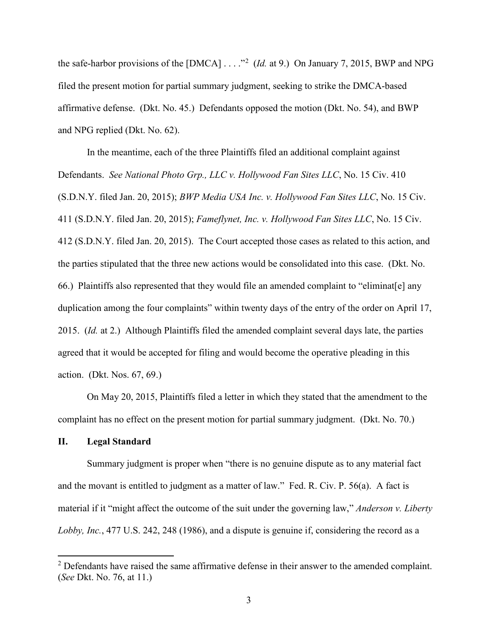the safe-harbor provisions of the  $[DMCA] \ldots$ <sup>[2](#page-2-0)</sup> (*Id.* at 9.) On January 7, 2015, BWP and NPG filed the present motion for partial summary judgment, seeking to strike the DMCA-based affirmative defense. (Dkt. No. 45.) Defendants opposed the motion (Dkt. No. 54), and BWP and NPG replied (Dkt. No. 62).

In the meantime, each of the three Plaintiffs filed an additional complaint against Defendants. *See National Photo Grp., LLC v. Hollywood Fan Sites LLC*, No. 15 Civ. 410 (S.D.N.Y. filed Jan. 20, 2015); *BWP Media USA Inc. v. Hollywood Fan Sites LLC*, No. 15 Civ. 411 (S.D.N.Y. filed Jan. 20, 2015); *Fameflynet, Inc. v. Hollywood Fan Sites LLC*, No. 15 Civ. 412 (S.D.N.Y. filed Jan. 20, 2015). The Court accepted those cases as related to this action, and the parties stipulated that the three new actions would be consolidated into this case. (Dkt. No. 66.) Plaintiffs also represented that they would file an amended complaint to "eliminat[e] any duplication among the four complaints" within twenty days of the entry of the order on April 17, 2015. (*Id.* at 2.) Although Plaintiffs filed the amended complaint several days late, the parties agreed that it would be accepted for filing and would become the operative pleading in this action. (Dkt. Nos. 67, 69.)

On May 20, 2015, Plaintiffs filed a letter in which they stated that the amendment to the complaint has no effect on the present motion for partial summary judgment. (Dkt. No. 70.)

### **II. Legal Standard**

 $\overline{a}$ 

Summary judgment is proper when "there is no genuine dispute as to any material fact and the movant is entitled to judgment as a matter of law." Fed. R. Civ. P. 56(a). A fact is material if it "might affect the outcome of the suit under the governing law," *Anderson v. Liberty Lobby, Inc.*, 477 U.S. 242, 248 (1986), and a dispute is genuine if, considering the record as a

<span id="page-2-0"></span> $2$  Defendants have raised the same affirmative defense in their answer to the amended complaint. (*See* Dkt. No. 76, at 11.)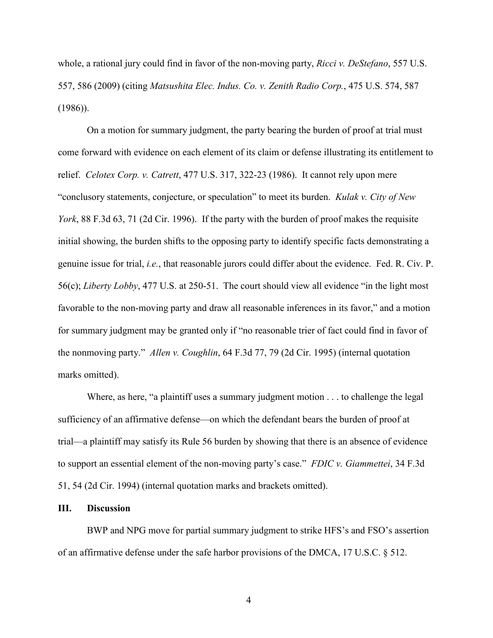whole, a rational jury could find in favor of the non-moving party, *Ricci v. DeStefano*, 557 U.S. 557, 586 (2009) (citing *Matsushita Elec. Indus. Co. v. Zenith Radio Corp.*, 475 U.S. 574, 587 (1986)).

On a motion for summary judgment, the party bearing the burden of proof at trial must come forward with evidence on each element of its claim or defense illustrating its entitlement to relief. *Celotex Corp. v. Catrett*, 477 U.S. 317, 322-23 (1986). It cannot rely upon mere "conclusory statements, conjecture, or speculation" to meet its burden. *Kulak v. City of New York*, 88 F.3d 63, 71 (2d Cir. 1996). If the party with the burden of proof makes the requisite initial showing, the burden shifts to the opposing party to identify specific facts demonstrating a genuine issue for trial, *i.e.*, that reasonable jurors could differ about the evidence. Fed. R. Civ. P. 56(c); *Liberty Lobby*, 477 U.S. at 250-51. The court should view all evidence "in the light most favorable to the non-moving party and draw all reasonable inferences in its favor," and a motion for summary judgment may be granted only if "no reasonable trier of fact could find in favor of the nonmoving party." *Allen v. Coughlin*, 64 F.3d 77, 79 (2d Cir. 1995) (internal quotation marks omitted).

Where, as here, "a plaintiff uses a summary judgment motion . . . to challenge the legal sufficiency of an affirmative defense—on which the defendant bears the burden of proof at trial—a plaintiff may satisfy its Rule 56 burden by showing that there is an absence of evidence to support an essential element of the non-moving party's case." *FDIC v. Giammettei*, 34 F.3d 51, 54 (2d Cir. 1994) (internal quotation marks and brackets omitted).

## **III. Discussion**

BWP and NPG move for partial summary judgment to strike HFS's and FSO's assertion of an affirmative defense under the safe harbor provisions of the DMCA, 17 U.S.C. § 512.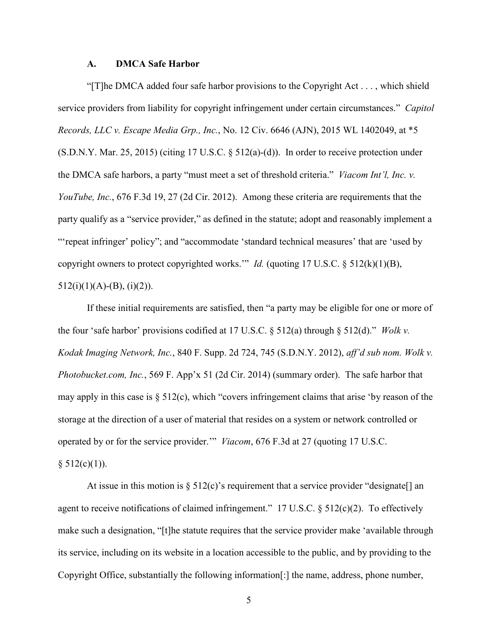### **A. DMCA Safe Harbor**

"[T]he DMCA added four safe harbor provisions to the Copyright Act . . . , which shield service providers from liability for copyright infringement under certain circumstances." *Capitol Records, LLC v. Escape Media Grp., Inc.*, No. 12 Civ. 6646 (AJN), 2015 WL 1402049, at \*5 (S.D.N.Y. Mar. 25, 2015) (citing 17 U.S.C. § 512(a)-(d)). In order to receive protection under the DMCA safe harbors, a party "must meet a set of threshold criteria." *Viacom Int'l, Inc. v. YouTube, Inc.*, 676 F.3d 19, 27 (2d Cir. 2012). Among these criteria are requirements that the party qualify as a "service provider," as defined in the statute; adopt and reasonably implement a "'repeat infringer' policy"; and "accommodate 'standard technical measures' that are 'used by copyright owners to protect copyrighted works.'" *Id.* (quoting 17 U.S.C. § 512(k)(1)(B),  $512(i)(1)(A)-(B), (i)(2)).$ 

If these initial requirements are satisfied, then "a party may be eligible for one or more of the four 'safe harbor' provisions codified at 17 U.S.C. § 512(a) through § 512(d)." *Wolk v. Kodak Imaging Network, Inc.*, 840 F. Supp. 2d 724, 745 (S.D.N.Y. 2012), *aff'd sub nom. Wolk v. Photobucket.com, Inc.*, 569 F. App'x 51 (2d Cir. 2014) (summary order). The safe harbor that may apply in this case is  $\S 512(c)$ , which "covers infringement claims that arise 'by reason of the storage at the direction of a user of material that resides on a system or network controlled or operated by or for the service provider.'" *Viacom*, 676 F.3d at 27 (quoting 17 U.S.C.  $§ 512(c)(1)).$ 

At issue in this motion is  $\S 512(c)$ 's requirement that a service provider "designate" an agent to receive notifications of claimed infringement." 17 U.S.C.  $\S$  512(c)(2). To effectively make such a designation, "[t]he statute requires that the service provider make 'available through its service, including on its website in a location accessible to the public, and by providing to the Copyright Office, substantially the following information[:] the name, address, phone number,

5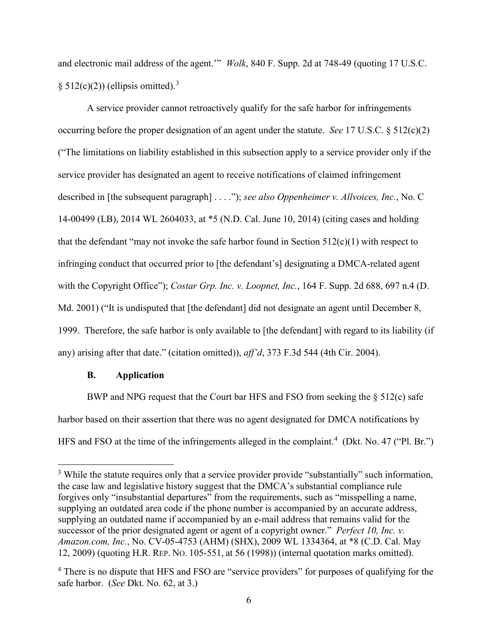and electronic mail address of the agent.'" *Wolk*, 840 F. Supp. 2d at 748-49 (quoting 17 U.S.C. § 512(c)(2)) (ellipsis omitted).<sup>[3](#page-5-0)</sup>

A service provider cannot retroactively qualify for the safe harbor for infringements occurring before the proper designation of an agent under the statute. *See* 17 U.S.C. § 512(c)(2) ("The limitations on liability established in this subsection apply to a service provider only if the service provider has designated an agent to receive notifications of claimed infringement described in [the subsequent paragraph] . . . ."); *see also Oppenheimer v. Allvoices, Inc.*, No. C 14-00499 (LB), 2014 WL 2604033, at \*5 (N.D. Cal. June 10, 2014) (citing cases and holding that the defendant "may not invoke the safe harbor found in Section  $512(c)(1)$  with respect to infringing conduct that occurred prior to [the defendant's] designating a DMCA-related agent with the Copyright Office"); *Costar Grp. Inc. v. Loopnet, Inc.*, 164 F. Supp. 2d 688, 697 n.4 (D. Md. 2001) ("It is undisputed that [the defendant] did not designate an agent until December 8, 1999. Therefore, the safe harbor is only available to [the defendant] with regard to its liability (if any) arising after that date." (citation omitted)), *aff'd*, 373 F.3d 544 (4th Cir. 2004).

# **B. Application**

 $\overline{a}$ 

BWP and NPG request that the Court bar HFS and FSO from seeking the § 512(c) safe harbor based on their assertion that there was no agent designated for DMCA notifications by HFS and FSO at the time of the infringements alleged in the complaint.<sup>[4](#page-5-1)</sup> (Dkt. No. 47 ("Pl. Br.")

<span id="page-5-0"></span><sup>&</sup>lt;sup>3</sup> While the statute requires only that a service provider provide "substantially" such information, the case law and legislative history suggest that the DMCA's substantial compliance rule forgives only "insubstantial departures" from the requirements, such as "misspelling a name, supplying an outdated area code if the phone number is accompanied by an accurate address, supplying an outdated name if accompanied by an e-mail address that remains valid for the successor of the prior designated agent or agent of a copyright owner." *Perfect 10, Inc. v. Amazon.com, Inc.*, No. CV-05-4753 (AHM) (SHX), 2009 WL 1334364, at \*8 (C.D. Cal. May 12, 2009) (quoting H.R. REP. NO. 105-551, at 56 (1998)) (internal quotation marks omitted).

<span id="page-5-1"></span><sup>&</sup>lt;sup>4</sup> There is no dispute that HFS and FSO are "service providers" for purposes of qualifying for the safe harbor. (*See* Dkt. No. 62, at 3.)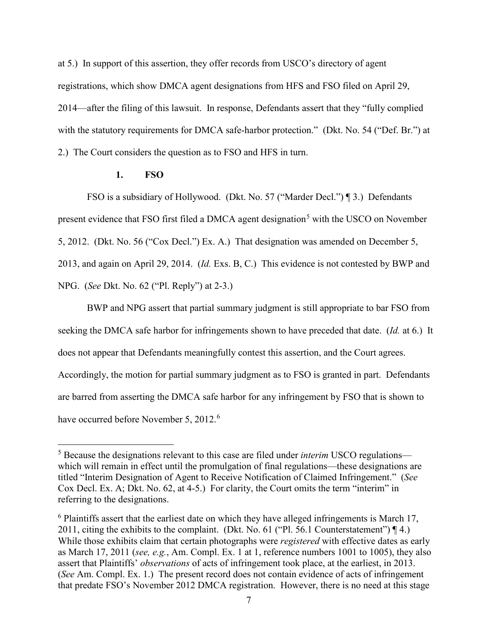at 5.) In support of this assertion, they offer records from USCO's directory of agent registrations, which show DMCA agent designations from HFS and FSO filed on April 29, 2014—after the filing of this lawsuit. In response, Defendants assert that they "fully complied with the statutory requirements for DMCA safe-harbor protection." (Dkt. No. 54 ("Def. Br.") at 2.) The Court considers the question as to FSO and HFS in turn.

# **1. FSO**

 $\overline{a}$ 

FSO is a subsidiary of Hollywood. (Dkt. No. 57 ("Marder Decl.") [3.] Defendants present evidence that FSO first filed a DMCA agent designation<sup>[5](#page-6-0)</sup> with the USCO on November 5, 2012. (Dkt. No. 56 ("Cox Decl.") Ex. A.) That designation was amended on December 5, 2013, and again on April 29, 2014. (*Id.* Exs. B, C.) This evidence is not contested by BWP and NPG. (*See* Dkt. No. 62 ("Pl. Reply") at 2-3.)

BWP and NPG assert that partial summary judgment is still appropriate to bar FSO from seeking the DMCA safe harbor for infringements shown to have preceded that date. (*Id.* at 6.) It does not appear that Defendants meaningfully contest this assertion, and the Court agrees. Accordingly, the motion for partial summary judgment as to FSO is granted in part. Defendants are barred from asserting the DMCA safe harbor for any infringement by FSO that is shown to have occurred before November 5, 2012.<sup>[6](#page-6-1)</sup>

<span id="page-6-0"></span><sup>5</sup> Because the designations relevant to this case are filed under *interim* USCO regulations which will remain in effect until the promulgation of final regulations—these designations are titled "Interim Designation of Agent to Receive Notification of Claimed Infringement." (*See* Cox Decl. Ex. A; Dkt. No. 62, at 4-5.) For clarity, the Court omits the term "interim" in referring to the designations.

<span id="page-6-1"></span><sup>&</sup>lt;sup>6</sup> Plaintiffs assert that the earliest date on which they have alleged infringements is March 17, 2011, citing the exhibits to the complaint. (Dkt. No. 61 ("Pl. 56.1 Counterstatement") ¶ 4.) While those exhibits claim that certain photographs were *registered* with effective dates as early as March 17, 2011 (*see, e.g.*, Am. Compl. Ex. 1 at 1, reference numbers 1001 to 1005), they also assert that Plaintiffs' *observations* of acts of infringement took place, at the earliest, in 2013. (*See* Am. Compl. Ex. 1.) The present record does not contain evidence of acts of infringement that predate FSO's November 2012 DMCA registration. However, there is no need at this stage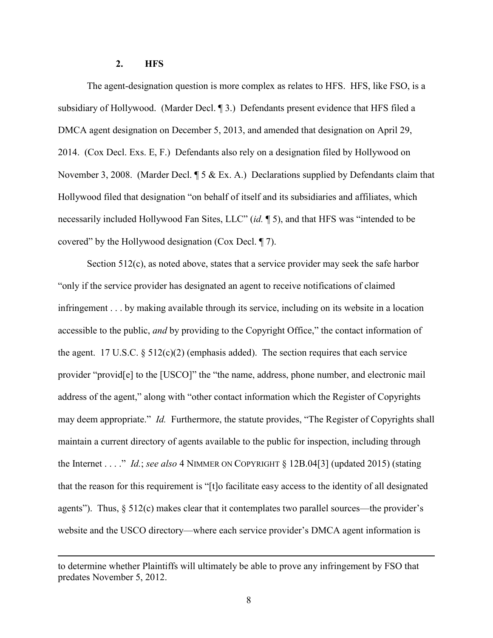# **2. HFS**

 $\overline{a}$ 

The agent-designation question is more complex as relates to HFS. HFS, like FSO, is a subsidiary of Hollywood. (Marder Decl. ¶ 3.) Defendants present evidence that HFS filed a DMCA agent designation on December 5, 2013, and amended that designation on April 29, 2014. (Cox Decl. Exs. E, F.) Defendants also rely on a designation filed by Hollywood on November 3, 2008. (Marder Decl. ¶ 5 & Ex. A.) Declarations supplied by Defendants claim that Hollywood filed that designation "on behalf of itself and its subsidiaries and affiliates, which necessarily included Hollywood Fan Sites, LLC" (*id.* ¶ 5), and that HFS was "intended to be covered" by the Hollywood designation (Cox Decl. ¶ 7).

Section 512(c), as noted above, states that a service provider may seek the safe harbor "only if the service provider has designated an agent to receive notifications of claimed infringement . . . by making available through its service, including on its website in a location accessible to the public, *and* by providing to the Copyright Office," the contact information of the agent. 17 U.S.C.  $\S$  512(c)(2) (emphasis added). The section requires that each service provider "provid[e] to the [USCO]" the "the name, address, phone number, and electronic mail address of the agent," along with "other contact information which the Register of Copyrights may deem appropriate." *Id.* Furthermore, the statute provides, "The Register of Copyrights shall maintain a current directory of agents available to the public for inspection, including through the Internet . . . ." *Id.*; *see also* 4 NIMMER ON COPYRIGHT § 12B.04[3] (updated 2015) (stating that the reason for this requirement is "[t]o facilitate easy access to the identity of all designated agents"). Thus,  $\S$  512(c) makes clear that it contemplates two parallel sources—the provider's website and the USCO directory—where each service provider's DMCA agent information is

to determine whether Plaintiffs will ultimately be able to prove any infringement by FSO that predates November 5, 2012.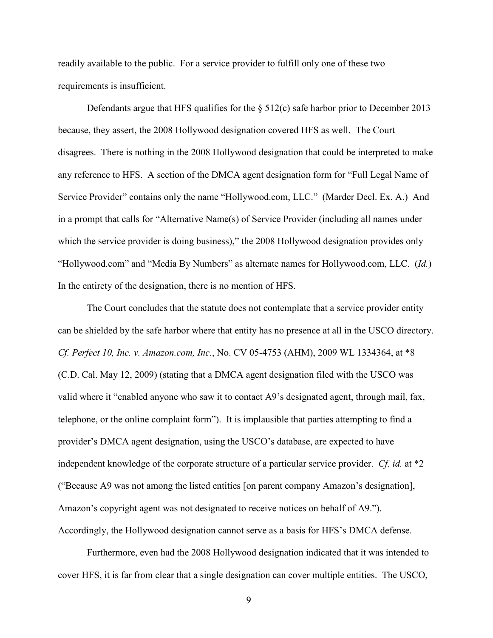readily available to the public. For a service provider to fulfill only one of these two requirements is insufficient.

Defendants argue that HFS qualifies for the  $\S 512(c)$  safe harbor prior to December 2013 because, they assert, the 2008 Hollywood designation covered HFS as well. The Court disagrees. There is nothing in the 2008 Hollywood designation that could be interpreted to make any reference to HFS. A section of the DMCA agent designation form for "Full Legal Name of Service Provider" contains only the name "Hollywood.com, LLC." (Marder Decl. Ex. A.) And in a prompt that calls for "Alternative Name(s) of Service Provider (including all names under which the service provider is doing business)," the 2008 Hollywood designation provides only "Hollywood.com" and "Media By Numbers" as alternate names for Hollywood.com, LLC. (*Id.*) In the entirety of the designation, there is no mention of HFS.

The Court concludes that the statute does not contemplate that a service provider entity can be shielded by the safe harbor where that entity has no presence at all in the USCO directory. *Cf. Perfect 10, Inc. v. Amazon.com, Inc.*, No. CV 05-4753 (AHM), 2009 WL 1334364, at \*8 (C.D. Cal. May 12, 2009) (stating that a DMCA agent designation filed with the USCO was valid where it "enabled anyone who saw it to contact A9's designated agent, through mail, fax, telephone, or the online complaint form"). It is implausible that parties attempting to find a provider's DMCA agent designation, using the USCO's database, are expected to have independent knowledge of the corporate structure of a particular service provider. *Cf. id.* at \*2 ("Because A9 was not among the listed entities [on parent company Amazon's designation], Amazon's copyright agent was not designated to receive notices on behalf of A9."). Accordingly, the Hollywood designation cannot serve as a basis for HFS's DMCA defense.

Furthermore, even had the 2008 Hollywood designation indicated that it was intended to cover HFS, it is far from clear that a single designation can cover multiple entities. The USCO,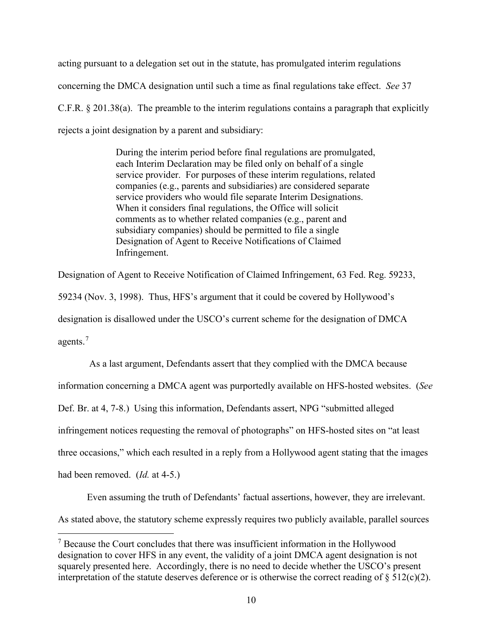acting pursuant to a delegation set out in the statute, has promulgated interim regulations concerning the DMCA designation until such a time as final regulations take effect. *See* 37 C.F.R. § 201.38(a). The preamble to the interim regulations contains a paragraph that explicitly rejects a joint designation by a parent and subsidiary:

> During the interim period before final regulations are promulgated, each Interim Declaration may be filed only on behalf of a single service provider. For purposes of these interim regulations, related companies (e.g., parents and subsidiaries) are considered separate service providers who would file separate Interim Designations. When it considers final regulations, the Office will solicit comments as to whether related companies (e.g., parent and subsidiary companies) should be permitted to file a single Designation of Agent to Receive Notifications of Claimed Infringement.

Designation of Agent to Receive Notification of Claimed Infringement, 63 Fed. Reg. 59233,

59234 (Nov. 3, 1998). Thus, HFS's argument that it could be covered by Hollywood's designation is disallowed under the USCO's current scheme for the designation of DMCA agents.[7](#page-9-0)

As a last argument, Defendants assert that they complied with the DMCA because information concerning a DMCA agent was purportedly available on HFS-hosted websites. (*See*  Def. Br. at 4, 7-8.) Using this information, Defendants assert, NPG "submitted alleged infringement notices requesting the removal of photographs" on HFS-hosted sites on "at least three occasions," which each resulted in a reply from a Hollywood agent stating that the images had been removed. (*Id.* at 4-5.)

Even assuming the truth of Defendants' factual assertions, however, they are irrelevant.

As stated above, the statutory scheme expressly requires two publicly available, parallel sources

 $\overline{a}$ 

<span id="page-9-0"></span><sup>&</sup>lt;sup>7</sup> Because the Court concludes that there was insufficient information in the Hollywood designation to cover HFS in any event, the validity of a joint DMCA agent designation is not squarely presented here. Accordingly, there is no need to decide whether the USCO's present interpretation of the statute deserves deference or is otherwise the correct reading of  $\S 512(c)(2)$ .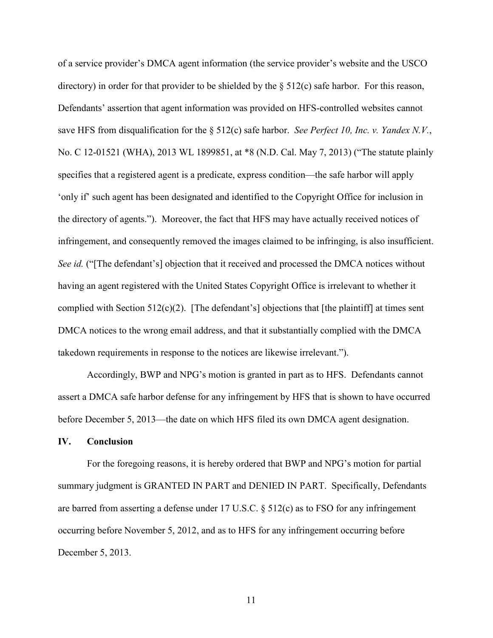of a service provider's DMCA agent information (the service provider's website and the USCO directory) in order for that provider to be shielded by the § 512(c) safe harbor. For this reason, Defendants' assertion that agent information was provided on HFS-controlled websites cannot save HFS from disqualification for the § 512(c) safe harbor. *See Perfect 10, Inc. v. Yandex N.V.*, No. C 12-01521 (WHA), 2013 WL 1899851, at \*8 (N.D. Cal. May 7, 2013) ("The statute plainly specifies that a registered agent is a predicate, express condition—the safe harbor will apply 'only if' such agent has been designated and identified to the Copyright Office for inclusion in the directory of agents."). Moreover, the fact that HFS may have actually received notices of infringement, and consequently removed the images claimed to be infringing, is also insufficient. *See id.* ("[The defendant's] objection that it received and processed the DMCA notices without having an agent registered with the United States Copyright Office is irrelevant to whether it complied with Section  $512(c)(2)$ . [The defendant's] objections that [the plaintiff] at times sent DMCA notices to the wrong email address, and that it substantially complied with the DMCA takedown requirements in response to the notices are likewise irrelevant.").

Accordingly, BWP and NPG's motion is granted in part as to HFS. Defendants cannot assert a DMCA safe harbor defense for any infringement by HFS that is shown to have occurred before December 5, 2013—the date on which HFS filed its own DMCA agent designation.

# **IV. Conclusion**

For the foregoing reasons, it is hereby ordered that BWP and NPG's motion for partial summary judgment is GRANTED IN PART and DENIED IN PART. Specifically, Defendants are barred from asserting a defense under 17 U.S.C. § 512(c) as to FSO for any infringement occurring before November 5, 2012, and as to HFS for any infringement occurring before December 5, 2013.

11